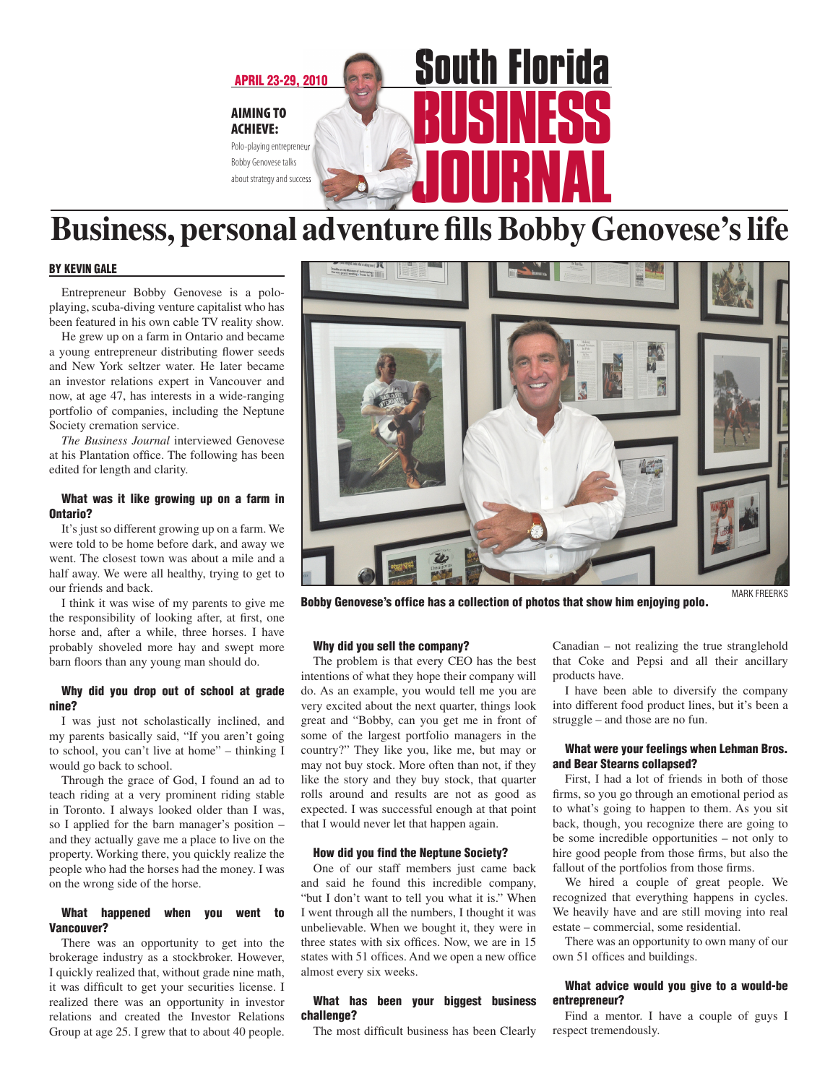

# **Business, personal adventure fills Bobby Genovese's life**

#### by KEVIN GALE

Entrepreneur Bobby Genovese is a poloplaying, scuba-diving venture capitalist who has been featured in his own cable TV reality show.

He grew up on a farm in Ontario and became a young entrepreneur distributing flower seeds and New York seltzer water. He later became an investor relations expert in Vancouver and now, at age 47, has interests in a wide-ranging portfolio of companies, including the Neptune Society cremation service.

*The Business Journal* interviewed Genovese at his Plantation office. The following has been edited for length and clarity.

#### What was it like growing up on a farm in Ontario?

It's just so different growing up on a farm. We were told to be home before dark, and away we went. The closest town was about a mile and a half away. We were all healthy, trying to get to our friends and back.

I think it was wise of my parents to give me the responsibility of looking after, at first, one horse and, after a while, three horses. I have probably shoveled more hay and swept more barn floors than any young man should do.

#### Why did you drop out of school at grade nine?

I was just not scholastically inclined, and my parents basically said, "If you aren't going to school, you can't live at home" – thinking I would go back to school.

Through the grace of God, I found an ad to teach riding at a very prominent riding stable in Toronto. I always looked older than I was, so I applied for the barn manager's position – and they actually gave me a place to live on the property. Working there, you quickly realize the people who had the horses had the money. I was on the wrong side of the horse.

#### What happened when you went to Vancouver?

There was an opportunity to get into the brokerage industry as a stockbroker. However, I quickly realized that, without grade nine math, it was difficult to get your securities license. I realized there was an opportunity in investor relations and created the Investor Relations Group at age 25. I grew that to about 40 people.



Bobby Genovese's office has a collection of photos that show him enjoying polo. MARK FREERKS

#### Why did you sell the company?

The problem is that every CEO has the best intentions of what they hope their company will do. As an example, you would tell me you are very excited about the next quarter, things look great and "Bobby, can you get me in front of some of the largest portfolio managers in the country?" They like you, like me, but may or may not buy stock. More often than not, if they like the story and they buy stock, that quarter rolls around and results are not as good as expected. I was successful enough at that point that I would never let that happen again.

#### How did you find the Neptune Society?

One of our staff members just came back and said he found this incredible company, "but I don't want to tell you what it is." When I went through all the numbers, I thought it was unbelievable. When we bought it, they were in three states with six offices. Now, we are in 15 states with 51 offices. And we open a new office almost every six weeks.

#### What has been your biggest business challenge?

The most difficult business has been Clearly

Canadian – not realizing the true stranglehold that Coke and Pepsi and all their ancillary products have.

I have been able to diversify the company into different food product lines, but it's been a struggle – and those are no fun.

#### What were your feelings when Lehman Bros. and Bear Stearns collapsed?

First, I had a lot of friends in both of those firms, so you go through an emotional period as to what's going to happen to them. As you sit back, though, you recognize there are going to be some incredible opportunities – not only to hire good people from those firms, but also the fallout of the portfolios from those firms.

We hired a couple of great people. We recognized that everything happens in cycles. We heavily have and are still moving into real estate – commercial, some residential.

There was an opportunity to own many of our own 51 offices and buildings.

#### What advice would you give to a would-be entrepreneur?

Find a mentor. I have a couple of guys I respect tremendously.